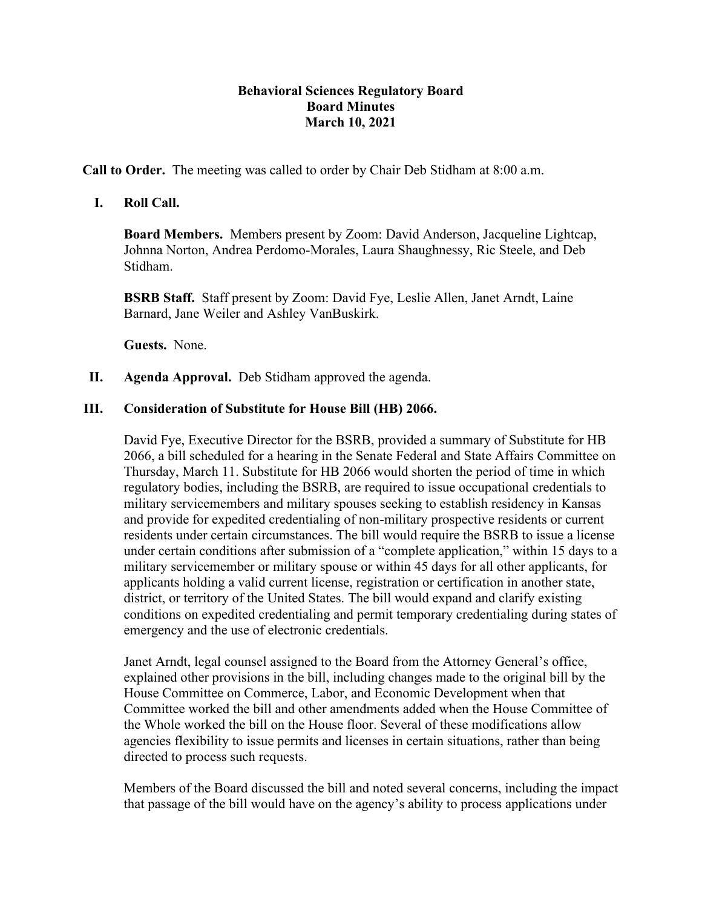## **Behavioral Sciences Regulatory Board Board Minutes March 10, 2021**

**Call to Order.** The meeting was called to order by Chair Deb Stidham at 8:00 a.m.

## **I. Roll Call.**

**Board Members.** Members present by Zoom: David Anderson, Jacqueline Lightcap, Johnna Norton, Andrea Perdomo-Morales, Laura Shaughnessy, Ric Steele, and Deb Stidham.

**BSRB Staff.** Staff present by Zoom: David Fye, Leslie Allen, Janet Arndt, Laine Barnard, Jane Weiler and Ashley VanBuskirk.

**Guests.** None.

**II. Agenda Approval.** Deb Stidham approved the agenda.

## **III. Consideration of Substitute for House Bill (HB) 2066.**

David Fye, Executive Director for the BSRB, provided a summary of Substitute for HB 2066, a bill scheduled for a hearing in the Senate Federal and State Affairs Committee on Thursday, March 11. Substitute for HB 2066 would shorten the period of time in which regulatory bodies, including the BSRB, are required to issue occupational credentials to military servicemembers and military spouses seeking to establish residency in Kansas and provide for expedited credentialing of non-military prospective residents or current residents under certain circumstances. The bill would require the BSRB to issue a license under certain conditions after submission of a "complete application," within 15 days to a military servicemember or military spouse or within 45 days for all other applicants, for applicants holding a valid current license, registration or certification in another state, district, or territory of the United States. The bill would expand and clarify existing conditions on expedited credentialing and permit temporary credentialing during states of emergency and the use of electronic credentials.

Janet Arndt, legal counsel assigned to the Board from the Attorney General's office, explained other provisions in the bill, including changes made to the original bill by the House Committee on Commerce, Labor, and Economic Development when that Committee worked the bill and other amendments added when the House Committee of the Whole worked the bill on the House floor. Several of these modifications allow agencies flexibility to issue permits and licenses in certain situations, rather than being directed to process such requests.

Members of the Board discussed the bill and noted several concerns, including the impact that passage of the bill would have on the agency's ability to process applications under